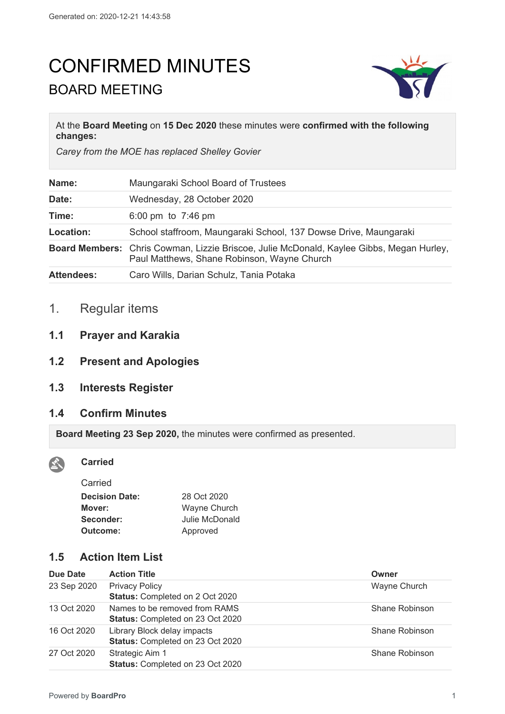# CONFIRMED MINUTES BOARD MEETING



At the **Board Meeting** on **15 Dec 2020** these minutes were **confirmed with the following changes:**

*Carey from the MOE has replaced Shelley Govier*

| Name:             | Maungaraki School Board of Trustees                                                                                                            |  |
|-------------------|------------------------------------------------------------------------------------------------------------------------------------------------|--|
| Date:             | Wednesday, 28 October 2020                                                                                                                     |  |
| Time:             | 6:00 pm to $7:46$ pm                                                                                                                           |  |
| Location:         | School staffroom, Maungaraki School, 137 Dowse Drive, Maungaraki                                                                               |  |
|                   | <b>Board Members:</b> Chris Cowman, Lizzie Briscoe, Julie McDonald, Kaylee Gibbs, Megan Hurley,<br>Paul Matthews, Shane Robinson, Wayne Church |  |
| <b>Attendees:</b> | Caro Wills, Darian Schulz, Tania Potaka                                                                                                        |  |

- 1. Regular items
- **1.1 Prayer and Karakia**
- **1.2 Present and Apologies**
- **1.3 Interests Register**
- **1.4 Confirm Minutes**

**Board Meeting 23 Sep 2020,** the minutes were confirmed as presented.



#### **Carried**

| Carried               |                |
|-----------------------|----------------|
| <b>Decision Date:</b> | 28 Oct 2020    |
| Mover:                | Wayne Church   |
| Seconder:             | Julie McDonald |
| Outcome:              | Approved       |

# **1.5 Action Item List**

| <b>Due Date</b> | <b>Action Title</b>                                               | Owner          |
|-----------------|-------------------------------------------------------------------|----------------|
| 23 Sep 2020     | <b>Privacy Policy</b><br>Status: Completed on 2 Oct 2020          | Wayne Church   |
| 13 Oct 2020     | Names to be removed from RAMS<br>Status: Completed on 23 Oct 2020 | Shane Robinson |
| 16 Oct 2020     | Library Block delay impacts<br>Status: Completed on 23 Oct 2020   | Shane Robinson |
| 27 Oct 2020     | Strategic Aim 1<br>Status: Completed on 23 Oct 2020               | Shane Robinson |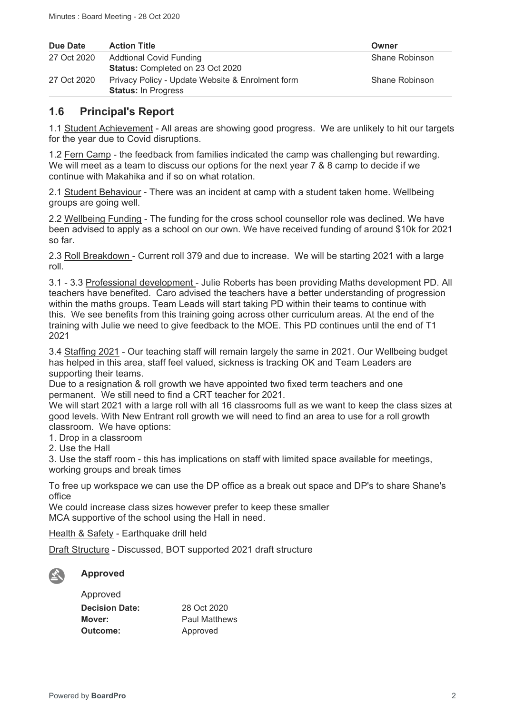| Due Date    | <b>Action Title</b>                                                            | Owner          |
|-------------|--------------------------------------------------------------------------------|----------------|
| 27 Oct 2020 | <b>Addtional Covid Funding</b><br><b>Status: Completed on 23 Oct 2020</b>      | Shane Robinson |
| 27 Oct 2020 | Privacy Policy - Update Website & Enrolment form<br><b>Status: In Progress</b> | Shane Robinson |

# **1.6 Principal's Report**

1.1 Student Achievement - All areas are showing good progress. We are unlikely to hit our targets for the year due to Covid disruptions.

1.2 Fern Camp - the feedback from families indicated the camp was challenging but rewarding. We will meet as a team to discuss our options for the next year 7 & 8 camp to decide if we continue with Makahika and if so on what rotation.

2.1 Student Behaviour - There was an incident at camp with a student taken home. Wellbeing groups are going well.

2.2 Wellbeing Funding - The funding for the cross school counsellor role was declined. We have been advised to apply as a school on our own. We have received funding of around \$10k for 2021 so far.

2.3 Roll Breakdown - Current roll 379 and due to increase. We will be starting 2021 with a large roll.

3.1 - 3.3 Professional development - Julie Roberts has been providing Maths development PD. All teachers have benefited. Caro advised the teachers have a better understanding of progression within the maths groups. Team Leads will start taking PD within their teams to continue with this. We see benefits from this training going across other curriculum areas. At the end of the training with Julie we need to give feedback to the MOE. This PD continues until the end of T1 2021

3.4 Staffing 2021 - Our teaching staff will remain largely the same in 2021. Our Wellbeing budget has helped in this area, staff feel valued, sickness is tracking OK and Team Leaders are supporting their teams.

Due to a resignation & roll growth we have appointed two fixed term teachers and one permanent. We still need to find a CRT teacher for 2021.

We will start 2021 with a large roll with all 16 classrooms full as we want to keep the class sizes at good levels. With New Entrant roll growth we will need to find an area to use for a roll growth classroom. We have options:

1. Drop in a classroom

2. Use the Hall

3. Use the staff room - this has implications on staff with limited space available for meetings, working groups and break times

To free up workspace we can use the DP office as a break out space and DP's to share Shane's office

We could increase class sizes however prefer to keep these smaller MCA supportive of the school using the Hall in need.

Health & Safety - Earthquake drill held

Draft Structure - Discussed, BOT supported 2021 draft structure



#### **Approved**

| Approved              |                      |
|-----------------------|----------------------|
| <b>Decision Date:</b> | 28 Oct 2020          |
| Mover:                | <b>Paul Matthews</b> |
| <b>Outcome:</b>       | Approved             |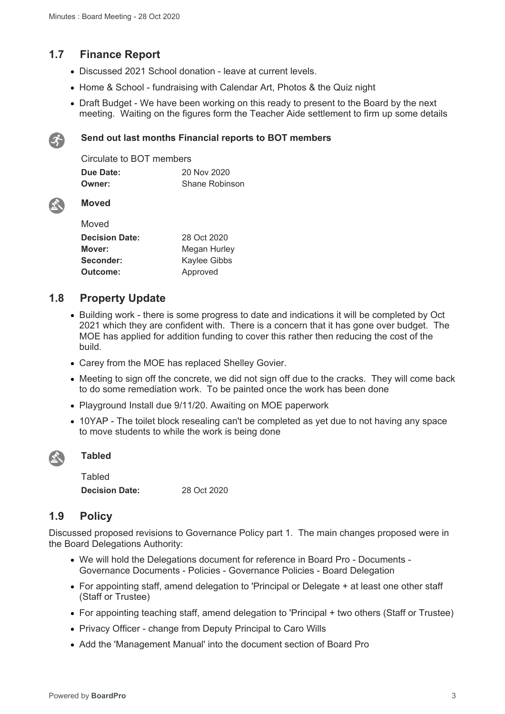## **1.7 Finance Report**

- Discussed 2021 School donation leave at current levels.
- Home & School fundraising with Calendar Art, Photos & the Quiz night
- Draft Budget We have been working on this ready to present to the Board by the next meeting. Waiting on the figures form the Teacher Aide settlement to firm up some details



#### **Send out last months Financial reports to BOT members**

Circulate to BOT members **Due Date:** 20 Nov 2020 **Owner:** Shane Robinson



# **Moved**

| Moved                 |              |
|-----------------------|--------------|
| <b>Decision Date:</b> | 28 Oct 2020  |
| Mover:                | Megan Hurley |
| Seconder:             | Kaylee Gibbs |
| Outcome:              | Approved     |

#### **1.8 Property Update**

- Building work there is some progress to date and indications it will be completed by Oct 2021 which they are confident with. There is a concern that it has gone over budget. The MOE has applied for addition funding to cover this rather then reducing the cost of the build.
- Carey from the MOE has replaced Shelley Govier.
- Meeting to sign off the concrete, we did not sign off due to the cracks. They will come back to do some remediation work. To be painted once the work has been done
- Playground Install due 9/11/20. Awaiting on MOE paperwork
- 10YAP The toilet block resealing can't be completed as yet due to not having any space to move students to while the work is being done

| t |  |
|---|--|
|   |  |

#### **Tabled**

Tabled **Decision Date:** 28 Oct 2020

## **1.9 Policy**

Discussed proposed revisions to Governance Policy part 1. The main changes proposed were in the Board Delegations Authority:

- We will hold the Delegations document for reference in Board Pro Documents Governance Documents - Policies - Governance Policies - Board Delegation
- For appointing staff, amend delegation to 'Principal or Delegate + at least one other staff (Staff or Trustee)
- For appointing teaching staff, amend delegation to 'Principal + two others (Staff or Trustee)
- Privacy Officer change from Deputy Principal to Caro Wills
- Add the 'Management Manual' into the document section of Board Pro